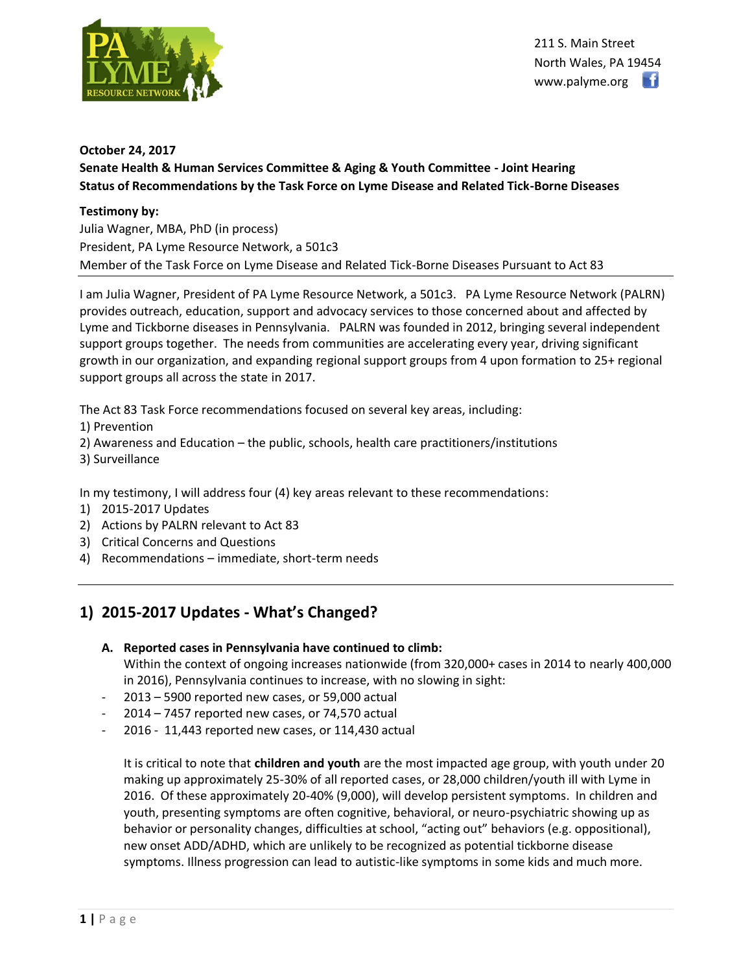

211 S. Main Street North Wales, PA 19454 www.palyme.org

### **October 24, 2017**

## **Senate Health & Human Services Committee & Aging & Youth Committee - Joint Hearing Status of Recommendations by the Task Force on Lyme Disease and Related Tick-Borne Diseases**

### **Testimony by:**

Julia Wagner, MBA, PhD (in process) President, PA Lyme Resource Network, a 501c3 Member of the Task Force on Lyme Disease and Related Tick-Borne Diseases Pursuant to Act 83

I am Julia Wagner, President of PA Lyme Resource Network, a 501c3. PA Lyme Resource Network (PALRN) provides outreach, education, support and advocacy services to those concerned about and affected by Lyme and Tickborne diseases in Pennsylvania. PALRN was founded in 2012, bringing several independent support groups together. The needs from communities are accelerating every year, driving significant growth in our organization, and expanding regional support groups from 4 upon formation to 25+ regional support groups all across the state in 2017.

The Act 83 Task Force recommendations focused on several key areas, including:

- 1) Prevention
- 2) Awareness and Education the public, schools, health care practitioners/institutions
- 3) Surveillance

In my testimony, I will address four (4) key areas relevant to these recommendations:

- 1) 2015-2017 Updates
- 2) Actions by PALRN relevant to Act 83
- 3) Critical Concerns and Questions
- 4) Recommendations immediate, short-term needs

# **1) 2015-2017 Updates - What's Changed?**

- **A. Reported cases in Pennsylvania have continued to climb:** Within the context of ongoing increases nationwide (from 320,000+ cases in 2014 to nearly 400,000 in 2016), Pennsylvania continues to increase, with no slowing in sight:
- $2013 5900$  reported new cases, or 59,000 actual
- $2014 7457$  reported new cases, or 74,570 actual
- 2016 11,443 reported new cases, or 114,430 actual

It is critical to note that **children and youth** are the most impacted age group, with youth under 20 making up approximately 25-30% of all reported cases, or 28,000 children/youth ill with Lyme in 2016. Of these approximately 20-40% (9,000), will develop persistent symptoms. In children and youth, presenting symptoms are often cognitive, behavioral, or neuro-psychiatric showing up as behavior or personality changes, difficulties at school, "acting out" behaviors (e.g. oppositional), new onset ADD/ADHD, which are unlikely to be recognized as potential tickborne disease symptoms. Illness progression can lead to autistic-like symptoms in some kids and much more.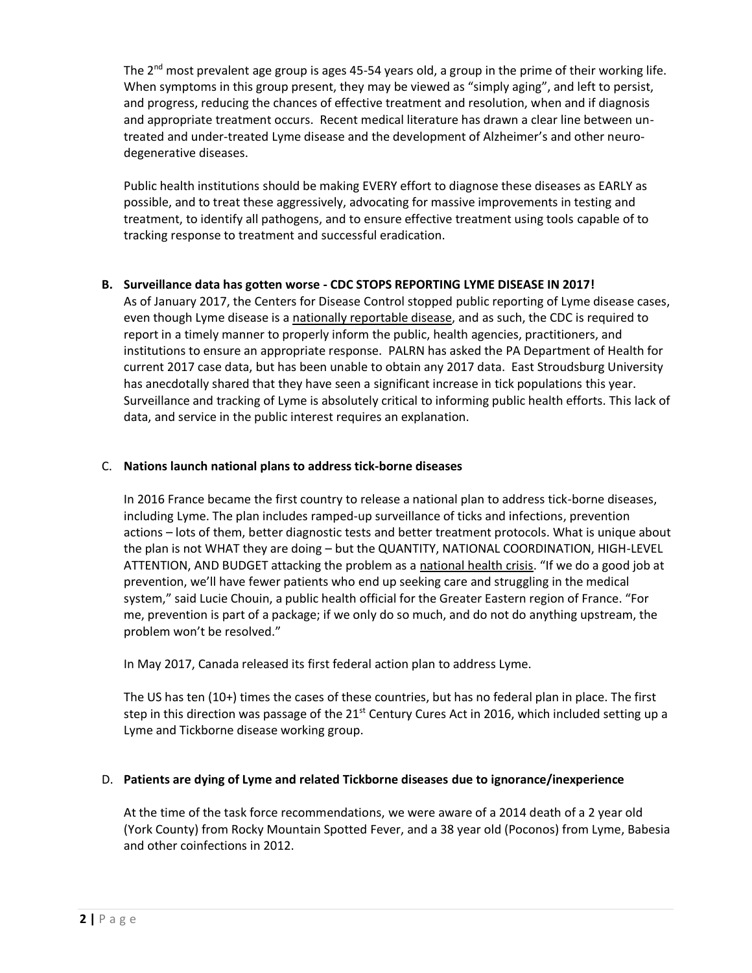The  $2<sup>nd</sup>$  most prevalent age group is ages 45-54 years old, a group in the prime of their working life. When symptoms in this group present, they may be viewed as "simply aging", and left to persist, and progress, reducing the chances of effective treatment and resolution, when and if diagnosis and appropriate treatment occurs. Recent medical literature has drawn a clear line between untreated and under-treated Lyme disease and the development of Alzheimer's and other neurodegenerative diseases.

Public health institutions should be making EVERY effort to diagnose these diseases as EARLY as possible, and to treat these aggressively, advocating for massive improvements in testing and treatment, to identify all pathogens, and to ensure effective treatment using tools capable of to tracking response to treatment and successful eradication.

### **B. Surveillance data has gotten worse - CDC STOPS REPORTING LYME DISEASE IN 2017!**

As of January 2017, the Centers for Disease Control stopped public reporting of Lyme disease cases, even though Lyme disease is a nationally reportable disease, and as such, the CDC is required to report in a timely manner to properly inform the public, health agencies, practitioners, and institutions to ensure an appropriate response. PALRN has asked the PA Department of Health for current 2017 case data, but has been unable to obtain any 2017 data. East Stroudsburg University has anecdotally shared that they have seen a significant increase in tick populations this year. Surveillance and tracking of Lyme is absolutely critical to informing public health efforts. This lack of data, and service in the public interest requires an explanation.

### C. **Nations launch national plans to address tick-borne diseases**

In 2016 France became the first country to release a national plan to address tick-borne diseases, including Lyme. The plan includes ramped-up surveillance of ticks and infections, prevention actions – lots of them, better diagnostic tests and better treatment protocols. What is unique about the plan is not WHAT they are doing – but the QUANTITY, NATIONAL COORDINATION, HIGH-LEVEL ATTENTION, AND BUDGET attacking the problem as a national health crisis. "If we do a good job at prevention, we'll have fewer patients who end up seeking care and struggling in the medical system," said Lucie Chouin, a public health official for the Greater Eastern region of France. "For me, prevention is part of a package; if we only do so much, and do not do anything upstream, the problem won't be resolved."

In May 2017, Canada released its first federal action plan to address Lyme.

The US has ten (10+) times the cases of these countries, but has no federal plan in place. The first step in this direction was passage of the  $21^{st}$  Century Cures Act in 2016, which included setting up a Lyme and Tickborne disease working group.

### D. **Patients are dying of Lyme and related Tickborne diseases due to ignorance/inexperience**

At the time of the task force recommendations, we were aware of a 2014 death of a 2 year old (York County) from Rocky Mountain Spotted Fever, and a 38 year old (Poconos) from Lyme, Babesia and other coinfections in 2012.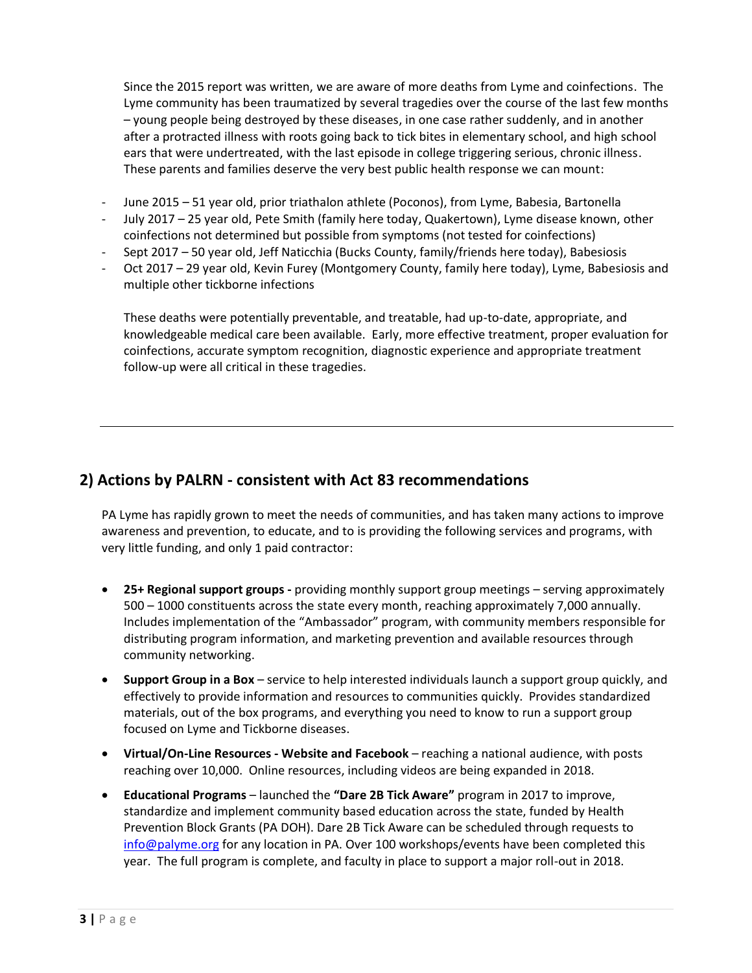Since the 2015 report was written, we are aware of more deaths from Lyme and coinfections. The Lyme community has been traumatized by several tragedies over the course of the last few months – young people being destroyed by these diseases, in one case rather suddenly, and in another after a protracted illness with roots going back to tick bites in elementary school, and high school ears that were undertreated, with the last episode in college triggering serious, chronic illness. These parents and families deserve the very best public health response we can mount:

- June 2015 51 year old, prior triathalon athlete (Poconos), from Lyme, Babesia, Bartonella
- July 2017 25 year old, Pete Smith (family here today, Quakertown), Lyme disease known, other coinfections not determined but possible from symptoms (not tested for coinfections)
- Sept 2017 50 year old, Jeff Naticchia (Bucks County, family/friends here today), Babesiosis
- Oct 2017 29 year old, Kevin Furey (Montgomery County, family here today), Lyme, Babesiosis and multiple other tickborne infections

These deaths were potentially preventable, and treatable, had up-to-date, appropriate, and knowledgeable medical care been available. Early, more effective treatment, proper evaluation for coinfections, accurate symptom recognition, diagnostic experience and appropriate treatment follow-up were all critical in these tragedies.

# **2) Actions by PALRN - consistent with Act 83 recommendations**

PA Lyme has rapidly grown to meet the needs of communities, and has taken many actions to improve awareness and prevention, to educate, and to is providing the following services and programs, with very little funding, and only 1 paid contractor:

- **25+ Regional support groups -** providing monthly support group meetings serving approximately 500 – 1000 constituents across the state every month, reaching approximately 7,000 annually. Includes implementation of the "Ambassador" program, with community members responsible for distributing program information, and marketing prevention and available resources through community networking.
- **Support Group in a Box** service to help interested individuals launch a support group quickly, and effectively to provide information and resources to communities quickly. Provides standardized materials, out of the box programs, and everything you need to know to run a support group focused on Lyme and Tickborne diseases.
- **Virtual/On-Line Resources - Website and Facebook** reaching a national audience, with posts reaching over 10,000. Online resources, including videos are being expanded in 2018.
- **Educational Programs** launched the **"Dare 2B Tick Aware"** program in 2017 to improve, standardize and implement community based education across the state, funded by Health Prevention Block Grants (PA DOH). Dare 2B Tick Aware can be scheduled through requests to [info@palyme.org](mailto:info@palyme.org) for any location in PA. Over 100 workshops/events have been completed this year. The full program is complete, and faculty in place to support a major roll-out in 2018.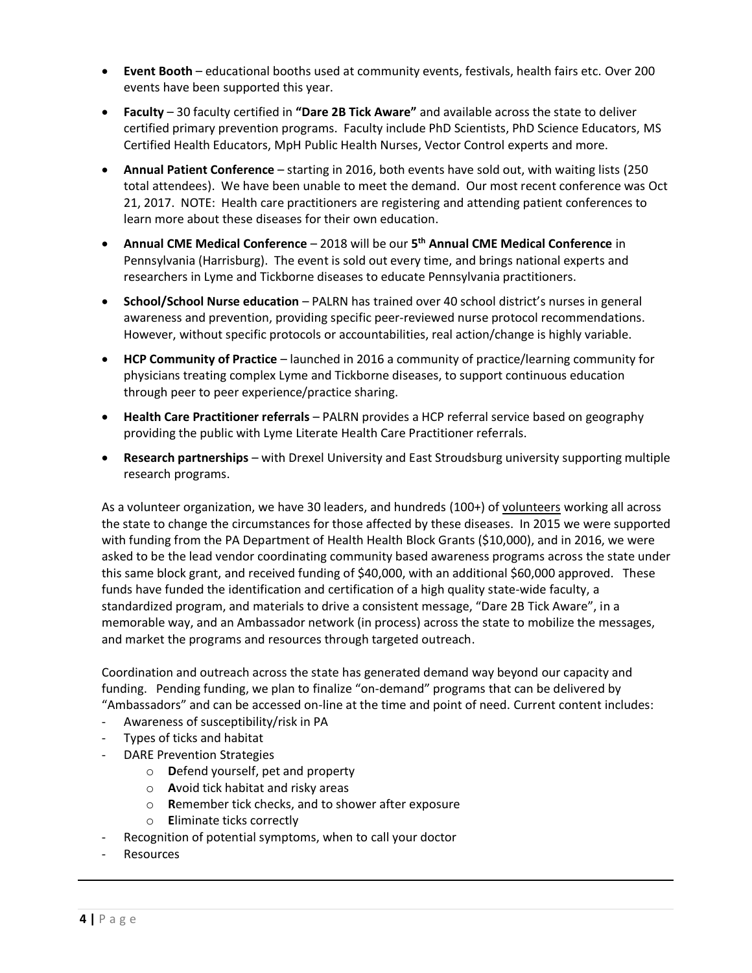- **Event Booth** educational booths used at community events, festivals, health fairs etc. Over 200 events have been supported this year.
- **Faculty** 30 faculty certified in **"Dare 2B Tick Aware"** and available across the state to deliver certified primary prevention programs. Faculty include PhD Scientists, PhD Science Educators, MS Certified Health Educators, MpH Public Health Nurses, Vector Control experts and more.
- **Annual Patient Conference** starting in 2016, both events have sold out, with waiting lists (250 total attendees). We have been unable to meet the demand. Our most recent conference was Oct 21, 2017. NOTE: Health care practitioners are registering and attending patient conferences to learn more about these diseases for their own education.
- **Annual CME Medical Conference**  2018 will be our **5 th Annual CME Medical Conference** in Pennsylvania (Harrisburg). The event is sold out every time, and brings national experts and researchers in Lyme and Tickborne diseases to educate Pennsylvania practitioners.
- **School/School Nurse education**  PALRN has trained over 40 school district's nurses in general awareness and prevention, providing specific peer-reviewed nurse protocol recommendations. However, without specific protocols or accountabilities, real action/change is highly variable.
- **HCP Community of Practice** launched in 2016 a community of practice/learning community for physicians treating complex Lyme and Tickborne diseases, to support continuous education through peer to peer experience/practice sharing.
- **Health Care Practitioner referrals**  PALRN provides a HCP referral service based on geography providing the public with Lyme Literate Health Care Practitioner referrals.
- **Research partnerships**  with Drexel University and East Stroudsburg university supporting multiple research programs.

As a volunteer organization, we have 30 leaders, and hundreds (100+) of volunteers working all across the state to change the circumstances for those affected by these diseases. In 2015 we were supported with funding from the PA Department of Health Health Block Grants (\$10,000), and in 2016, we were asked to be the lead vendor coordinating community based awareness programs across the state under this same block grant, and received funding of \$40,000, with an additional \$60,000 approved. These funds have funded the identification and certification of a high quality state-wide faculty, a standardized program, and materials to drive a consistent message, "Dare 2B Tick Aware", in a memorable way, and an Ambassador network (in process) across the state to mobilize the messages, and market the programs and resources through targeted outreach.

Coordination and outreach across the state has generated demand way beyond our capacity and funding. Pending funding, we plan to finalize "on-demand" programs that can be delivered by "Ambassadors" and can be accessed on-line at the time and point of need. Current content includes:

- Awareness of susceptibility/risk in PA
- Types of ticks and habitat
- DARE Prevention Strategies
	- o **D**efend yourself, pet and property
	- o **A**void tick habitat and risky areas
	- o **R**emember tick checks, and to shower after exposure
	- o **E**liminate ticks correctly
- Recognition of potential symptoms, when to call your doctor
- **Resources**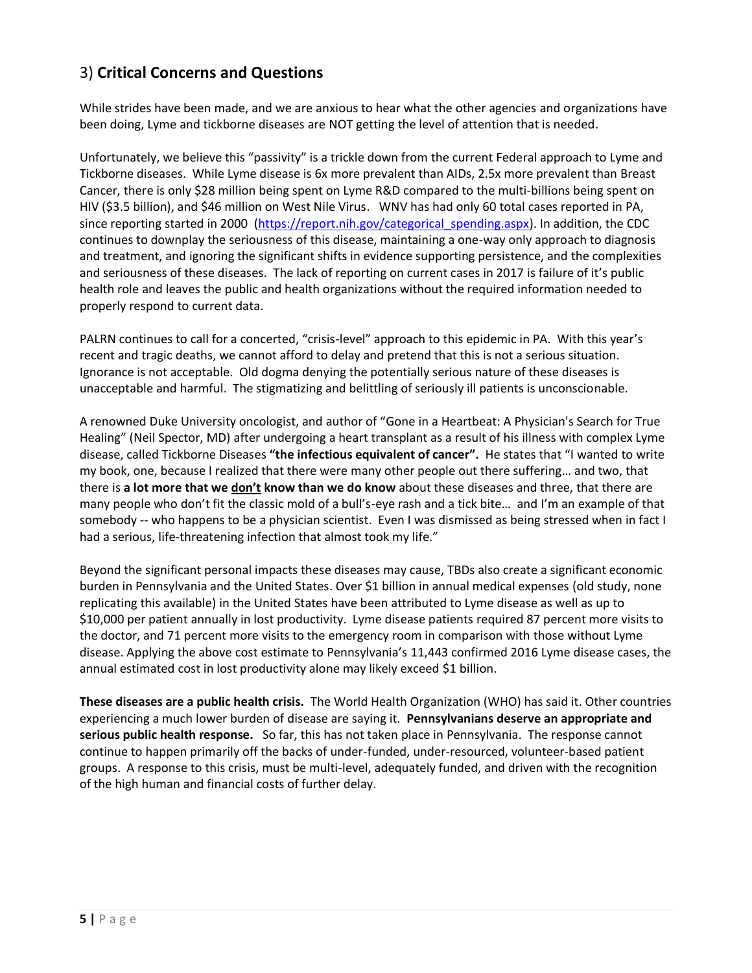# 3) **Critical Concerns and Questions**

While strides have been made, and we are anxious to hear what the other agencies and organizations have been doing, Lyme and tickborne diseases are NOT getting the level of attention that is needed.

Unfortunately, we believe this "passivity" is a trickle down from the current Federal approach to Lyme and Tickborne diseases. While Lyme disease is 6x more prevalent than AIDs, 2.5x more prevalent than Breast Cancer, there is only \$28 million being spent on Lyme R&D compared to the multi-billions being spent on HIV (\$3.5 billion), and \$46 million on West Nile Virus. WNV has had only 60 total cases reported in PA, since reporting started in 2000 [\(https://report.nih.gov/categorical\\_spending.aspx\)](https://report.nih.gov/categorical_spending.aspx). In addition, the CDC continues to downplay the seriousness of this disease, maintaining a one-way only approach to diagnosis and treatment, and ignoring the significant shifts in evidence supporting persistence, and the complexities and seriousness of these diseases. The lack of reporting on current cases in 2017 is failure of it's public health role and leaves the public and health organizations without the required information needed to properly respond to current data.

PALRN continues to call for a concerted, "crisis-level" approach to this epidemic in PA. With this year's recent and tragic deaths, we cannot afford to delay and pretend that this is not a serious situation. Ignorance is not acceptable. Old dogma denying the potentially serious nature of these diseases is unacceptable and harmful. The stigmatizing and belittling of seriously ill patients is unconscionable.

A renowned Duke University oncologist, and author of "Gone in a Heartbeat: A Physician's Search for True Healing" (Neil Spector, MD) after undergoing a heart transplant as a result of his illness with complex Lyme disease, called Tickborne Diseases **"the infectious equivalent of cancer".** He states that "I wanted to write my book, one, because I realized that there were many other people out there suffering… and two, that there is **a lot more that we don't know than we do know** about these diseases and three, that there are many people who don't fit the classic mold of a bull's-eye rash and a tick bite… and I'm an example of that somebody -- who happens to be a physician scientist. Even I was dismissed as being stressed when in fact I had a serious, life-threatening infection that almost took my life."

Beyond the significant personal impacts these diseases may cause, TBDs also create a significant economic burden in Pennsylvania and the United States. Over \$1 billion in annual medical expenses (old study, none replicating this available) in the United States have been attributed to Lyme disease as well as up to \$10,000 per patient annually in lost productivity. Lyme disease patients required 87 percent more visits to the doctor, and 71 percent more visits to the emergency room in comparison with those without Lyme disease. Applying the above cost estimate to Pennsylvania's 11,443 confirmed 2016 Lyme disease cases, the annual estimated cost in lost productivity alone may likely exceed \$1 billion.

**These diseases are a public health crisis.** The World Health Organization (WHO) has said it. Other countries experiencing a much lower burden of disease are saying it. **Pennsylvanians deserve an appropriate and serious public health response.** So far, this has not taken place in Pennsylvania. The response cannot continue to happen primarily off the backs of under-funded, under-resourced, volunteer-based patient groups. A response to this crisis, must be multi-level, adequately funded, and driven with the recognition of the high human and financial costs of further delay.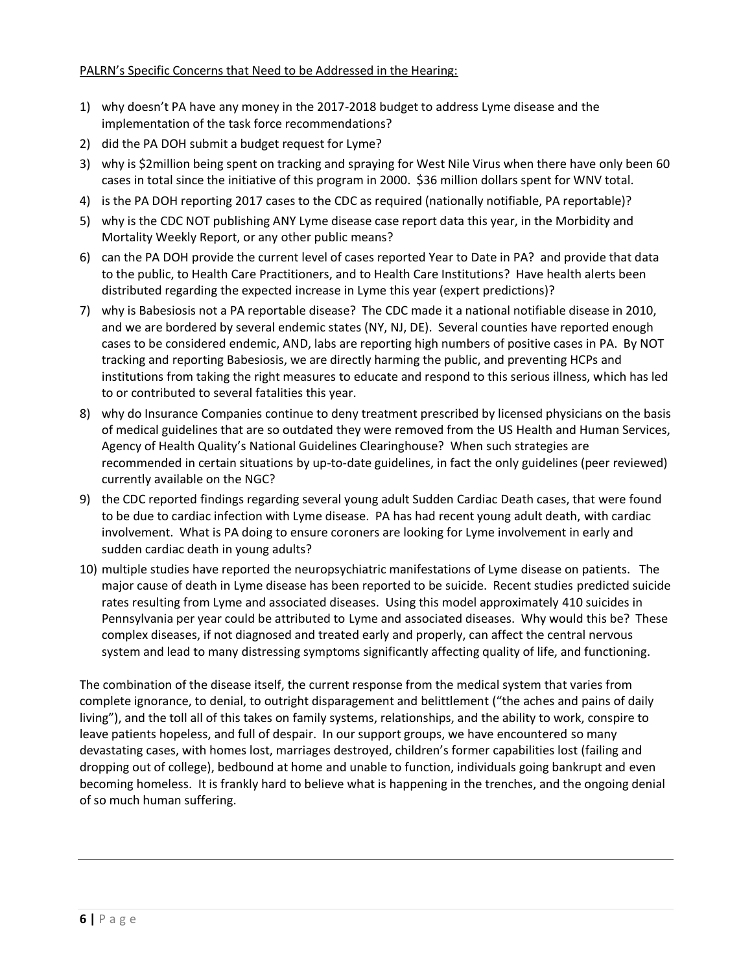### PALRN's Specific Concerns that Need to be Addressed in the Hearing:

- 1) why doesn't PA have any money in the 2017-2018 budget to address Lyme disease and the implementation of the task force recommendations?
- 2) did the PA DOH submit a budget request for Lyme?
- 3) why is \$2million being spent on tracking and spraying for West Nile Virus when there have only been 60 cases in total since the initiative of this program in 2000. \$36 million dollars spent for WNV total.
- 4) is the PA DOH reporting 2017 cases to the CDC as required (nationally notifiable, PA reportable)?
- 5) why is the CDC NOT publishing ANY Lyme disease case report data this year, in the Morbidity and Mortality Weekly Report, or any other public means?
- 6) can the PA DOH provide the current level of cases reported Year to Date in PA? and provide that data to the public, to Health Care Practitioners, and to Health Care Institutions? Have health alerts been distributed regarding the expected increase in Lyme this year (expert predictions)?
- 7) why is Babesiosis not a PA reportable disease? The CDC made it a national notifiable disease in 2010, and we are bordered by several endemic states (NY, NJ, DE). Several counties have reported enough cases to be considered endemic, AND, labs are reporting high numbers of positive cases in PA. By NOT tracking and reporting Babesiosis, we are directly harming the public, and preventing HCPs and institutions from taking the right measures to educate and respond to this serious illness, which has led to or contributed to several fatalities this year.
- 8) why do Insurance Companies continue to deny treatment prescribed by licensed physicians on the basis of medical guidelines that are so outdated they were removed from the US Health and Human Services, Agency of Health Quality's National Guidelines Clearinghouse? When such strategies are recommended in certain situations by up-to-date guidelines, in fact the only guidelines (peer reviewed) currently available on the NGC?
- 9) the CDC reported findings regarding several young adult Sudden Cardiac Death cases, that were found to be due to cardiac infection with Lyme disease. PA has had recent young adult death, with cardiac involvement. What is PA doing to ensure coroners are looking for Lyme involvement in early and sudden cardiac death in young adults?
- 10) multiple studies have reported the neuropsychiatric manifestations of Lyme disease on patients. The major cause of death in Lyme disease has been reported to be suicide. Recent studies predicted suicide rates resulting from Lyme and associated diseases. Using this model approximately 410 suicides in Pennsylvania per year could be attributed to Lyme and associated diseases. Why would this be? These complex diseases, if not diagnosed and treated early and properly, can affect the central nervous system and lead to many distressing symptoms significantly affecting quality of life, and functioning.

The combination of the disease itself, the current response from the medical system that varies from complete ignorance, to denial, to outright disparagement and belittlement ("the aches and pains of daily living"), and the toll all of this takes on family systems, relationships, and the ability to work, conspire to leave patients hopeless, and full of despair. In our support groups, we have encountered so many devastating cases, with homes lost, marriages destroyed, children's former capabilities lost (failing and dropping out of college), bedbound at home and unable to function, individuals going bankrupt and even becoming homeless. It is frankly hard to believe what is happening in the trenches, and the ongoing denial of so much human suffering.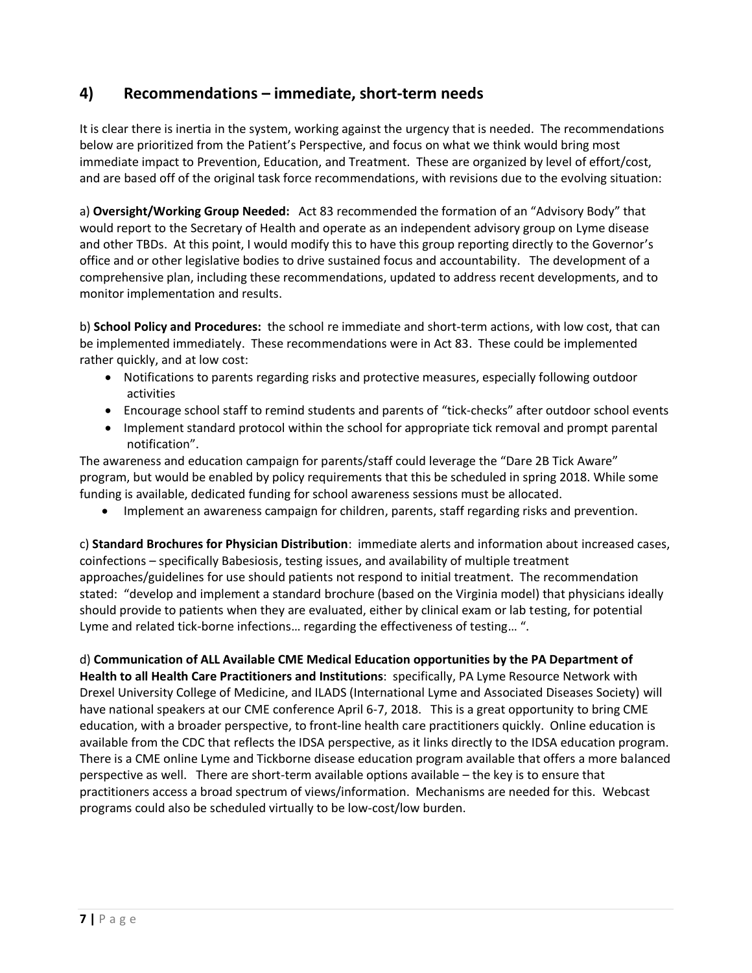## **4) Recommendations – immediate, short-term needs**

It is clear there is inertia in the system, working against the urgency that is needed. The recommendations below are prioritized from the Patient's Perspective, and focus on what we think would bring most immediate impact to Prevention, Education, and Treatment. These are organized by level of effort/cost, and are based off of the original task force recommendations, with revisions due to the evolving situation:

a) **Oversight/Working Group Needed:** Act 83 recommended the formation of an "Advisory Body" that would report to the Secretary of Health and operate as an independent advisory group on Lyme disease and other TBDs. At this point, I would modify this to have this group reporting directly to the Governor's office and or other legislative bodies to drive sustained focus and accountability. The development of a comprehensive plan, including these recommendations, updated to address recent developments, and to monitor implementation and results.

b) **School Policy and Procedures:** the school re immediate and short-term actions, with low cost, that can be implemented immediately. These recommendations were in Act 83. These could be implemented rather quickly, and at low cost:

- Notifications to parents regarding risks and protective measures, especially following outdoor activities
- Encourage school staff to remind students and parents of "tick-checks" after outdoor school events
- Implement standard protocol within the school for appropriate tick removal and prompt parental notification".

The awareness and education campaign for parents/staff could leverage the "Dare 2B Tick Aware" program, but would be enabled by policy requirements that this be scheduled in spring 2018. While some funding is available, dedicated funding for school awareness sessions must be allocated.

• Implement an awareness campaign for children, parents, staff regarding risks and prevention.

c) **Standard Brochures for Physician Distribution**: immediate alerts and information about increased cases, coinfections – specifically Babesiosis, testing issues, and availability of multiple treatment approaches/guidelines for use should patients not respond to initial treatment. The recommendation stated: "develop and implement a standard brochure (based on the Virginia model) that physicians ideally should provide to patients when they are evaluated, either by clinical exam or lab testing, for potential Lyme and related tick-borne infections… regarding the effectiveness of testing… ".

d) **Communication of ALL Available CME Medical Education opportunities by the PA Department of Health to all Health Care Practitioners and Institutions**: specifically, PA Lyme Resource Network with Drexel University College of Medicine, and ILADS (International Lyme and Associated Diseases Society) will have national speakers at our CME conference April 6-7, 2018. This is a great opportunity to bring CME education, with a broader perspective, to front-line health care practitioners quickly. Online education is available from the CDC that reflects the IDSA perspective, as it links directly to the IDSA education program. There is a CME online Lyme and Tickborne disease education program available that offers a more balanced perspective as well. There are short-term available options available – the key is to ensure that practitioners access a broad spectrum of views/information. Mechanisms are needed for this. Webcast programs could also be scheduled virtually to be low-cost/low burden.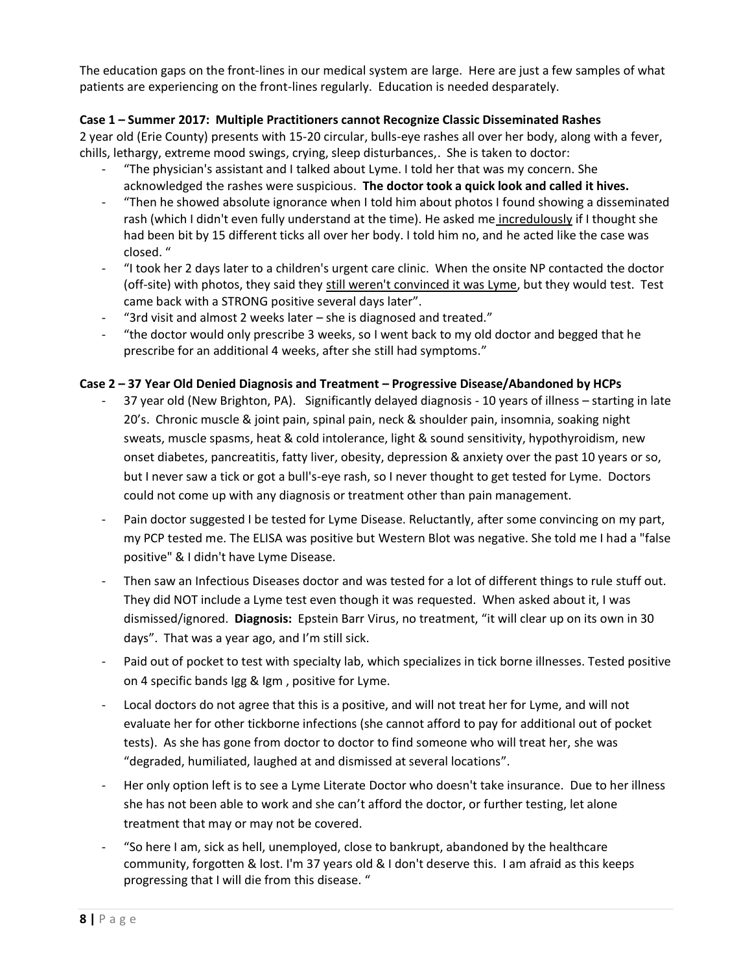The education gaps on the front-lines in our medical system are large. Here are just a few samples of what patients are experiencing on the front-lines regularly. Education is needed desparately.

### **Case 1 – Summer 2017: Multiple Practitioners cannot Recognize Classic Disseminated Rashes**

2 year old (Erie County) presents with 15-20 circular, bulls-eye rashes all over her body, along with a fever, chills, lethargy, extreme mood swings, crying, sleep disturbances,. She is taken to doctor:

- "The physician's assistant and I talked about Lyme. I told her that was my concern. She acknowledged the rashes were suspicious. **The doctor took a quick look and called it hives.**
- "Then he showed absolute ignorance when I told him about photos I found showing a disseminated rash (which I didn't even fully understand at the time). He asked me incredulously if I thought she had been bit by 15 different ticks all over her body. I told him no, and he acted like the case was closed. "
- "I took her 2 days later to a children's urgent care clinic. When the onsite NP contacted the doctor (off-site) with photos, they said they still weren't convinced it was Lyme, but they would test. Test came back with a STRONG positive several days later".
- "3rd visit and almost 2 weeks later she is diagnosed and treated."
- "the doctor would only prescribe 3 weeks, so I went back to my old doctor and begged that he prescribe for an additional 4 weeks, after she still had symptoms."

### **Case 2 – 37 Year Old Denied Diagnosis and Treatment – Progressive Disease/Abandoned by HCPs**

- 37 year old (New Brighton, PA). Significantly delayed diagnosis 10 years of illness starting in late 20's. Chronic muscle & joint pain, spinal pain, neck & shoulder pain, insomnia, soaking night sweats, muscle spasms, heat & cold intolerance, light & sound sensitivity, hypothyroidism, new onset diabetes, pancreatitis, fatty liver, obesity, depression & anxiety over the past 10 years or so, but I never saw a tick or got a bull's-eye rash, so I never thought to get tested for Lyme. Doctors could not come up with any diagnosis or treatment other than pain management.
- Pain doctor suggested I be tested for Lyme Disease. Reluctantly, after some convincing on my part, my PCP tested me. The ELISA was positive but Western Blot was negative. She told me I had a "false positive" & I didn't have Lyme Disease.
- Then saw an Infectious Diseases doctor and was tested for a lot of different things to rule stuff out. They did NOT include a Lyme test even though it was requested. When asked about it, I was dismissed/ignored. **Diagnosis:** Epstein Barr Virus, no treatment, "it will clear up on its own in 30 days". That was a year ago, and I'm still sick.
- Paid out of pocket to test with specialty lab, which specializes in tick borne illnesses. Tested positive on 4 specific bands Igg & Igm , positive for Lyme.
- Local doctors do not agree that this is a positive, and will not treat her for Lyme, and will not evaluate her for other tickborne infections (she cannot afford to pay for additional out of pocket tests). As she has gone from doctor to doctor to find someone who will treat her, she was "degraded, humiliated, laughed at and dismissed at several locations".
- Her only option left is to see a Lyme Literate Doctor who doesn't take insurance. Due to her illness she has not been able to work and she can't afford the doctor, or further testing, let alone treatment that may or may not be covered.
- "So here I am, sick as hell, unemployed, close to bankrupt, abandoned by the healthcare community, forgotten & lost. I'm 37 years old & I don't deserve this. I am afraid as this keeps progressing that I will die from this disease. "